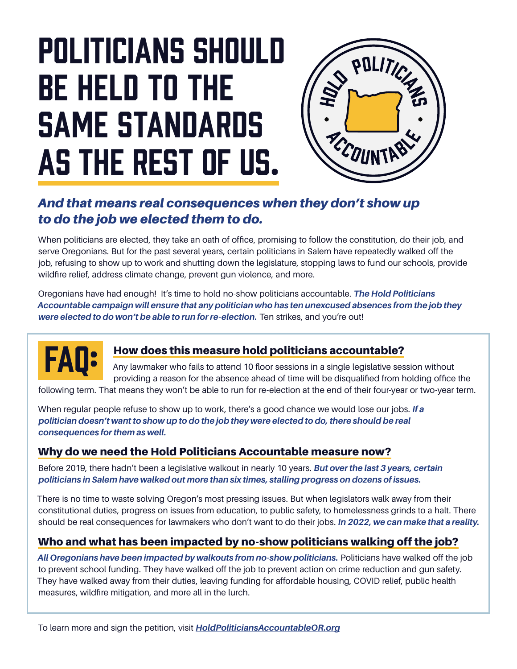# Politicians should be held to the same standards as the rest of us.



#### *And that means real consequences when they don't show up to do the job we elected them to do.*

When politicians are elected, they take an oath of office, promising to follow the constitution, do their job, and serve Oregonians. But for the past several years, certain politicians in Salem have repeatedly walked off the job, refusing to show up to work and shutting down the legislature, stopping laws to fund our schools, provide wildfire relief, address climate change, prevent gun violence, and more.

Oregonians have had enough! It's time to hold no-show politicians accountable. *The Hold Politicians Accountable campaign will ensure that any politician who has ten unexcused absences from the job they were elected to do won't be able to run for re-election.* Ten strikes, and you're out!



#### How does this measure hold politicians accountable?

Any lawmaker who fails to attend 10 floor sessions in a single legislative session without providing a reason for the absence ahead of time will be disqualified from holding office the following term. That means they won't be able to run for re-election at the end of their four-year or two-year term.

When regular people refuse to show up to work, there's a good chance we would lose our jobs. *If a* 

*politician doesn't want to show up to do the job they were elected to do, there should be real consequences for them as well.*

#### Why do we need the Hold Politicians Accountable measure now?

Before 2019, there hadn't been a legislative walkout in nearly 10 years. *But over the last 3 years, certain politicians in Salem have walked out more than six times, stalling progress on dozens of issues.*

There is no time to waste solving Oregon's most pressing issues. But when legislators walk away from their constitutional duties, progress on issues from education, to public safety, to homelessness grinds to a halt. There should be real consequences for lawmakers who don't want to do their jobs. *In 2022, we can make that a reality.*

#### Who and what has been impacted by no-show politicians walking off the job?

*All Oregonians have been impacted by walkouts from no-show politicians.* Politicians have walked off the job to prevent school funding. They have walked off the job to prevent action on crime reduction and gun safety. They have walked away from their duties, leaving funding for affordable housing, COVID relief, public health measures, wildfire mitigation, and more all in the lurch.